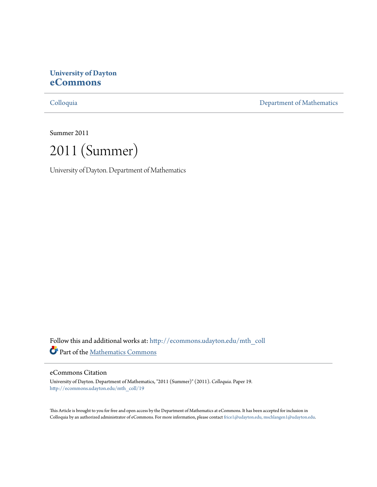# **University of Dayton [eCommons](http://ecommons.udayton.edu?utm_source=ecommons.udayton.edu%2Fmth_coll%2F19&utm_medium=PDF&utm_campaign=PDFCoverPages)**

[Colloquia](http://ecommons.udayton.edu/mth_coll?utm_source=ecommons.udayton.edu%2Fmth_coll%2F19&utm_medium=PDF&utm_campaign=PDFCoverPages) [Department of Mathematics](http://ecommons.udayton.edu/mth?utm_source=ecommons.udayton.edu%2Fmth_coll%2F19&utm_medium=PDF&utm_campaign=PDFCoverPages)

Summer 2011

2011 (Summer)

University of Dayton. Department of Mathematics

Follow this and additional works at: [http://ecommons.udayton.edu/mth\\_coll](http://ecommons.udayton.edu/mth_coll?utm_source=ecommons.udayton.edu%2Fmth_coll%2F19&utm_medium=PDF&utm_campaign=PDFCoverPages) Part of the [Mathematics Commons](http://network.bepress.com/hgg/discipline/174?utm_source=ecommons.udayton.edu%2Fmth_coll%2F19&utm_medium=PDF&utm_campaign=PDFCoverPages)

### eCommons Citation

University of Dayton. Department of Mathematics, "2011 (Summer)" (2011). *Colloquia.* Paper 19. [http://ecommons.udayton.edu/mth\\_coll/19](http://ecommons.udayton.edu/mth_coll/19?utm_source=ecommons.udayton.edu%2Fmth_coll%2F19&utm_medium=PDF&utm_campaign=PDFCoverPages)

This Article is brought to you for free and open access by the Department of Mathematics at eCommons. It has been accepted for inclusion in Colloquia by an authorized administrator of eCommons. For more information, please contact [frice1@udayton.edu, mschlangen1@udayton.edu.](mailto:frice1@udayton.edu,%20mschlangen1@udayton.edu)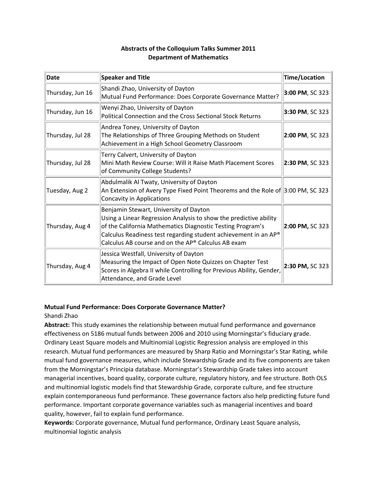| Date             | <b>Speaker and Title</b>                                                                                                                                                                                                                                                                           | Time/Location   |
|------------------|----------------------------------------------------------------------------------------------------------------------------------------------------------------------------------------------------------------------------------------------------------------------------------------------------|-----------------|
| Thursday, Jun 16 | Shandi Zhao, University of Dayton<br>Mutual Fund Performance: Does Corporate Governance Matter?                                                                                                                                                                                                    | 3:00 PM, SC 323 |
| Thursday, Jun 16 | Wenyi Zhao, University of Dayton<br>Political Connection and the Cross Sectional Stock Returns                                                                                                                                                                                                     | 3:30 PM, SC 323 |
| Thursday, Jul 28 | Andrea Toney, University of Dayton<br>The Relationships of Three Grouping Methods on Student<br>Achievement in a High School Geometry Classroom                                                                                                                                                    | 2:00 PM, SC 323 |
| Thursday, Jul 28 | Terry Calvert, University of Dayton<br>Mini Math Review Course: Will it Raise Math Placement Scores<br>of Community College Students?                                                                                                                                                              | 2:30 PM, SC 323 |
| Tuesday, Aug 2   | Abdulmalik Al Twaty, University of Dayton<br>An Extension of Avery Type Fixed Point Theorems and the Role of 3:00 PM, SC 323<br>Concavity in Applications                                                                                                                                          |                 |
| Thursday, Aug 4  | Benjamin Stewart, University of Dayton<br>Using a Linear Regression Analysis to show the predictive ability<br>of the California Mathematics Diagnostic Testing Program's<br>Calculus Readiness test regarding student achievement in an AP®<br>Calculus AB course and on the AP® Calculus AB exam | 2:00 PM, SC 323 |
| Thursday, Aug 4  | Jessica Westfall, University of Dayton<br>Measuring the Impact of Open Note Quizzes on Chapter Test<br>Scores in Algebra II while Controlling for Previous Ability, Gender,<br>Attendance, and Grade Level                                                                                         | 2:30 PM, SC 323 |

### **Abstracts of the Colloquium Talks Summer 2011 Department of Mathematics**

### **Mutual Fund Performance: Does Corporate Governance Matter?**

### Shandi Zhao

**Abstract:** This study examines the relationship between mutual fund performance and governance effectiveness on 5186 mutual funds between 2006 and 2010 using Morningstar's fiduciary grade. Ordinary Least Square models and Multinomial Logistic Regression analysis are employed in this research. Mutual fund performances are measured by Sharp Ratio and Morningstar's Star Rating, while mutual fund governance measures, which include Stewardship Grade and its five components are taken from the Morningstar's Principia database. Morningstar's Stewardship Grade takes into account managerial incentives, board quality, corporate culture, regulatory history, and fee structure. Both OLS and multinomial logistic models find that Stewardship Grade, corporate culture, and fee structure explain contemporaneous fund performance. These governance factors also help predicting future fund performance. Important corporate governance variables such as managerial incentives and board quality, however, fail to explain fund performance.

**Keywords:** Corporate governance, Mutual fund performance, Ordinary Least Square analysis, multinomial logistic analysis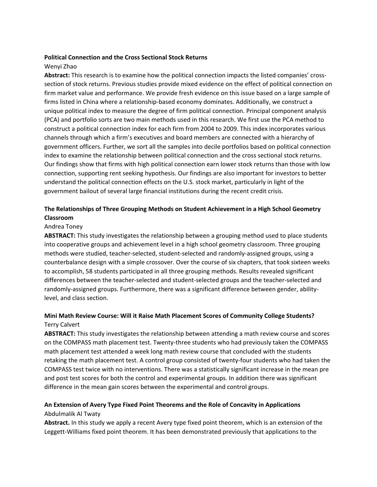#### **Political Connection and the Cross Sectional Stock Returns**

### Wenyi Zhao

**Abstract:** This research is to examine how the political connection impacts the listed companies' cross‐ section of stock returns. Previous studies provide mixed evidence on the effect of political connection on firm market value and performance. We provide fresh evidence on this issue based on a large sample of firms listed in China where a relationship‐based economy dominates. Additionally, we construct a unique political index to measure the degree of firm political connection. Principal component analysis (PCA) and portfolio sorts are two main methods used in this research. We first use the PCA method to construct a political connection index for each firm from 2004 to 2009. This index incorporates various channels through which a firm's executives and board members are connected with a hierarchy of government officers. Further, we sort all the samples into decile portfolios based on political connection index to examine the relationship between political connection and the cross sectional stock returns. Our findings show that firms with high political connection earn lower stock returns than those with low connection, supporting rent seeking hypothesis. Our findings are also important for investors to better understand the political connection effects on the U.S. stock market, particularly in light of the government bailout of several large financial institutions during the recent credit crisis.

### **The Relationships of Three Grouping Methods on Student Achievement in a High School Geometry Classroom**

#### Andrea Toney

**ABSTRACT:** This study investigates the relationship between a grouping method used to place students into cooperative groups and achievement level in a high school geometry classroom. Three grouping methods were studied, teacher‐selected, student‐selected and randomly‐assigned groups, using a counterbalance design with a simple crossover. Over the course of six chapters, that took sixteen weeks to accomplish, 58 students participated in all three grouping methods. Results revealed significant differences between the teacher‐selected and student‐selected groups and the teacher‐selected and randomly-assigned groups. Furthermore, there was a significant difference between gender, abilitylevel, and class section.

### **Mini Math Review Course: Will it Raise Math Placement Scores of Community College Students?** Terry Calvert

**ABSTRACT:** This study investigates the relationship between attending a math review course and scores on the COMPASS math placement test. Twenty-three students who had previously taken the COMPASS math placement test attended a week long math review course that concluded with the students retaking the math placement test. A control group consisted of twenty‐four students who had taken the COMPASS test twice with no interventions. There was a statistically significant increase in the mean pre and post test scores for both the control and experimental groups. In addition there was significant difference in the mean gain scores between the experimental and control groups.

### **An Extension of Avery Type Fixed Point Theorems and the Role of Concavity in Applications** Abdulmalik Al Twaty

**Abstract.** In this study we apply a recent Avery type fixed point theorem, which is an extension of the Leggett‐Williams fixed point theorem. It has been demonstrated previously that applications to the